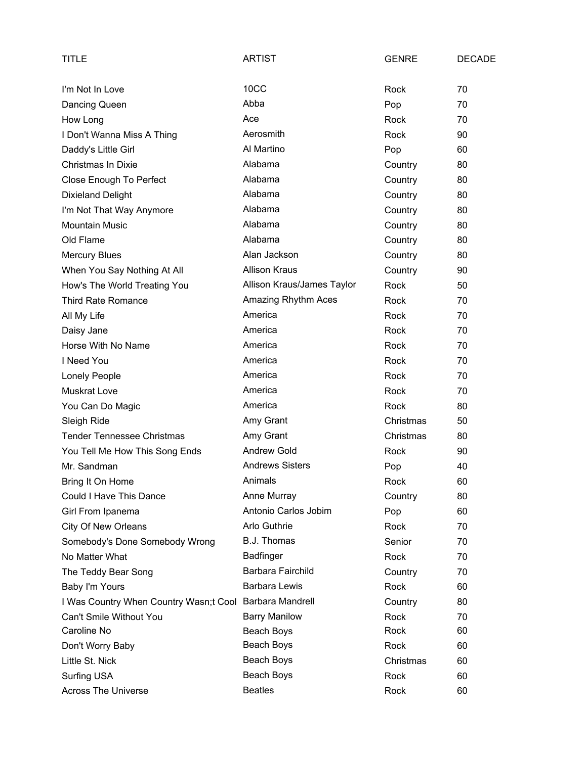| TITLE                                                   | <b>ARTIST</b>              | <b>GENRE</b> | <b>DECADE</b> |
|---------------------------------------------------------|----------------------------|--------------|---------------|
| I'm Not In Love                                         | 10CC                       | Rock         | 70            |
| Dancing Queen                                           | Abba                       | Pop          | 70            |
| How Long                                                | Ace                        | Rock         | 70            |
| I Don't Wanna Miss A Thing                              | Aerosmith                  | Rock         | 90            |
| Daddy's Little Girl                                     | Al Martino                 | Pop          | 60            |
| <b>Christmas In Dixie</b>                               | Alabama                    | Country      | 80            |
| Close Enough To Perfect                                 | Alabama                    | Country      | 80            |
| <b>Dixieland Delight</b>                                | Alabama                    | Country      | 80            |
| I'm Not That Way Anymore                                | Alabama                    | Country      | 80            |
| <b>Mountain Music</b>                                   | Alabama                    | Country      | 80            |
| Old Flame                                               | Alabama                    | Country      | 80            |
| <b>Mercury Blues</b>                                    | Alan Jackson               | Country      | 80            |
| When You Say Nothing At All                             | <b>Allison Kraus</b>       | Country      | 90            |
| How's The World Treating You                            | Allison Kraus/James Taylor | Rock         | 50            |
| <b>Third Rate Romance</b>                               | Amazing Rhythm Aces        | Rock         | 70            |
| All My Life                                             | America                    | Rock         | 70            |
| Daisy Jane                                              | America                    | Rock         | 70            |
| Horse With No Name                                      | America                    | Rock         | 70            |
| I Need You                                              | America                    | Rock         | 70            |
| Lonely People                                           | America                    | Rock         | 70            |
| <b>Muskrat Love</b>                                     | America                    | Rock         | 70            |
| You Can Do Magic                                        | America                    | Rock         | 80            |
| Sleigh Ride                                             | Amy Grant                  | Christmas    | 50            |
| <b>Tender Tennessee Christmas</b>                       | Amy Grant                  | Christmas    | 80            |
| You Tell Me How This Song Ends                          | <b>Andrew Gold</b>         | Rock         | 90            |
| Mr. Sandman                                             | <b>Andrews Sisters</b>     | Pop          | 40            |
| Bring It On Home                                        | Animals                    | Rock         | 60            |
| Could I Have This Dance                                 | Anne Murray                | Country      | 80            |
| Girl From Ipanema                                       | Antonio Carlos Jobim       | Pop          | 60            |
| <b>City Of New Orleans</b>                              | Arlo Guthrie               | Rock         | 70            |
| Somebody's Done Somebody Wrong                          | B.J. Thomas                | Senior       | 70            |
| No Matter What                                          | <b>Badfinger</b>           | Rock         | 70            |
| The Teddy Bear Song                                     | Barbara Fairchild          | Country      | 70            |
| Baby I'm Yours                                          | <b>Barbara Lewis</b>       | Rock         | 60            |
| I Was Country When Country Wasn;t Cool Barbara Mandrell |                            | Country      | 80            |
| Can't Smile Without You                                 | <b>Barry Manilow</b>       | Rock         | 70            |
| Caroline No                                             | Beach Boys                 | Rock         | 60            |
| Don't Worry Baby                                        | Beach Boys                 | Rock         | 60            |
| Little St. Nick                                         | Beach Boys                 | Christmas    | 60            |
| Surfing USA                                             | Beach Boys                 | Rock         | 60            |
| <b>Across The Universe</b>                              | <b>Beatles</b>             | Rock         | 60            |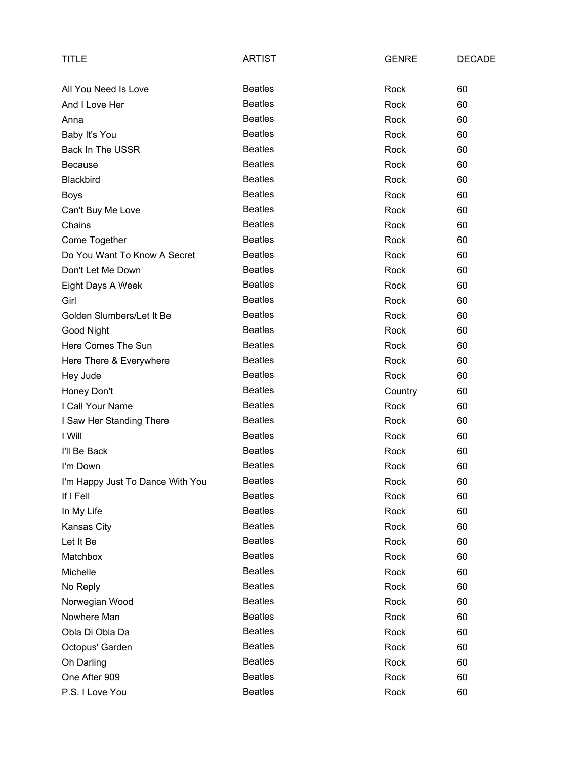| <b>TITLE</b>                     | <b>ARTIST</b>  | <b>GENRE</b> | <b>DECADE</b> |
|----------------------------------|----------------|--------------|---------------|
| All You Need Is Love             | <b>Beatles</b> | Rock         | 60            |
| And I Love Her                   | <b>Beatles</b> | <b>Rock</b>  | 60            |
| Anna                             | <b>Beatles</b> | Rock         | 60            |
| Baby It's You                    | <b>Beatles</b> | Rock         | 60            |
| <b>Back In The USSR</b>          | <b>Beatles</b> | Rock         | 60            |
| <b>Because</b>                   | <b>Beatles</b> | Rock         | 60            |
| Blackbird                        | <b>Beatles</b> | Rock         | 60            |
| <b>Boys</b>                      | <b>Beatles</b> | Rock         | 60            |
| Can't Buy Me Love                | <b>Beatles</b> | Rock         | 60            |
| Chains                           | <b>Beatles</b> | Rock         | 60            |
| Come Together                    | <b>Beatles</b> | Rock         | 60            |
| Do You Want To Know A Secret     | <b>Beatles</b> | Rock         | 60            |
| Don't Let Me Down                | <b>Beatles</b> | Rock         | 60            |
| Eight Days A Week                | <b>Beatles</b> | Rock         | 60            |
| Girl                             | <b>Beatles</b> | Rock         | 60            |
| Golden Slumbers/Let It Be        | <b>Beatles</b> | Rock         | 60            |
| Good Night                       | <b>Beatles</b> | Rock         | 60            |
| Here Comes The Sun               | <b>Beatles</b> | Rock         | 60            |
| Here There & Everywhere          | <b>Beatles</b> | Rock         | 60            |
| Hey Jude                         | <b>Beatles</b> | Rock         | 60            |
| Honey Don't                      | <b>Beatles</b> | Country      | 60            |
| I Call Your Name                 | <b>Beatles</b> | Rock         | 60            |
| I Saw Her Standing There         | <b>Beatles</b> | Rock         | 60            |
| I Will                           | <b>Beatles</b> | Rock         | 60            |
| I'll Be Back                     | <b>Beatles</b> | Rock         | 60            |
| I'm Down                         | <b>Beatles</b> | Rock         | 60            |
| I'm Happy Just To Dance With You | <b>Beatles</b> | Rock         | 60            |
| If I Fell                        | <b>Beatles</b> | Rock         | 60            |
| In My Life                       | <b>Beatles</b> | Rock         | 60            |
| Kansas City                      | <b>Beatles</b> | Rock         | 60            |
| Let It Be                        | <b>Beatles</b> | Rock         | 60            |
| Matchbox                         | <b>Beatles</b> | Rock         | 60            |
| Michelle                         | <b>Beatles</b> | Rock         | 60            |
| No Reply                         | <b>Beatles</b> | Rock         | 60            |
| Norwegian Wood                   | <b>Beatles</b> | Rock         | 60            |
| Nowhere Man                      | <b>Beatles</b> | Rock         | 60            |
| Obla Di Obla Da                  | <b>Beatles</b> | Rock         | 60            |
| Octopus' Garden                  | <b>Beatles</b> | Rock         | 60            |
| Oh Darling                       | <b>Beatles</b> | Rock         | 60            |
| One After 909                    | <b>Beatles</b> | Rock         | 60            |
| P.S. I Love You                  | <b>Beatles</b> | Rock         | 60            |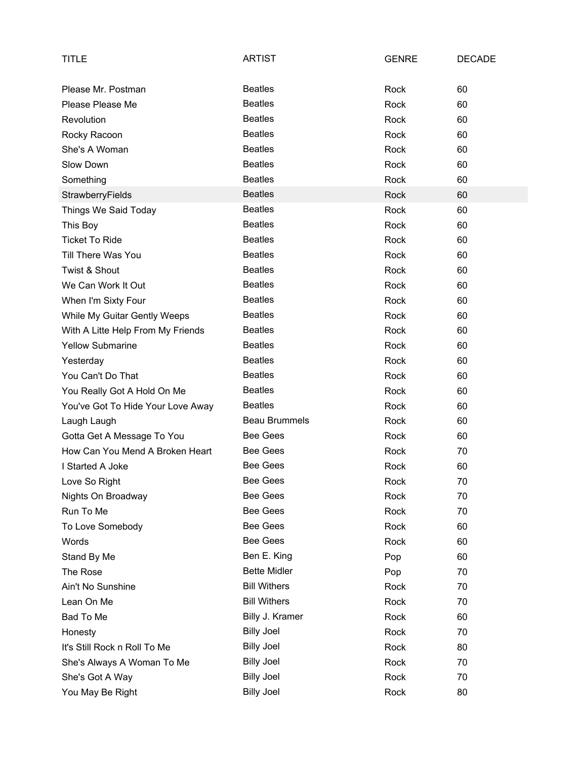| <b>TITLE</b>                      | <b>ARTIST</b>        | <b>GENRE</b> | <b>DECADE</b> |
|-----------------------------------|----------------------|--------------|---------------|
| Please Mr. Postman                | <b>Beatles</b>       | Rock         | 60            |
| Please Please Me                  | <b>Beatles</b>       | Rock         | 60            |
| Revolution                        | <b>Beatles</b>       | Rock         | 60            |
|                                   | <b>Beatles</b>       |              |               |
| Rocky Racoon                      | <b>Beatles</b>       | Rock         | 60            |
| She's A Woman                     |                      | Rock         | 60            |
| Slow Down                         | <b>Beatles</b>       | Rock         | 60            |
| Something                         | <b>Beatles</b>       | Rock         | 60            |
| StrawberryFields                  | <b>Beatles</b>       | Rock         | 60            |
| Things We Said Today              | <b>Beatles</b>       | Rock         | 60            |
| This Boy                          | <b>Beatles</b>       | Rock         | 60            |
| <b>Ticket To Ride</b>             | <b>Beatles</b>       | Rock         | 60            |
| Till There Was You                | <b>Beatles</b>       | Rock         | 60            |
| Twist & Shout                     | <b>Beatles</b>       | Rock         | 60            |
| We Can Work It Out                | <b>Beatles</b>       | Rock         | 60            |
| When I'm Sixty Four               | <b>Beatles</b>       | Rock         | 60            |
| While My Guitar Gently Weeps      | <b>Beatles</b>       | Rock         | 60            |
| With A Litte Help From My Friends | <b>Beatles</b>       | Rock         | 60            |
| <b>Yellow Submarine</b>           | <b>Beatles</b>       | Rock         | 60            |
| Yesterday                         | <b>Beatles</b>       | Rock         | 60            |
| You Can't Do That                 | <b>Beatles</b>       | Rock         | 60            |
| You Really Got A Hold On Me       | <b>Beatles</b>       | Rock         | 60            |
| You've Got To Hide Your Love Away | <b>Beatles</b>       | Rock         | 60            |
| Laugh Laugh                       | <b>Beau Brummels</b> | Rock         | 60            |
| Gotta Get A Message To You        | Bee Gees             | Rock         | 60            |
| How Can You Mend A Broken Heart   | <b>Bee Gees</b>      | Rock         | 70            |
| I Started A Joke                  | <b>Bee Gees</b>      | Rock         | 60            |
| Love So Right                     | <b>Bee Gees</b>      | Rock         | 70            |
| Nights On Broadway                | <b>Bee Gees</b>      | Rock         | 70            |
| Run To Me                         | <b>Bee Gees</b>      | Rock         | 70            |
| To Love Somebody                  | <b>Bee Gees</b>      | Rock         | 60            |
| Words                             | <b>Bee Gees</b>      | Rock         | 60            |
| Stand By Me                       | Ben E. King          | Pop          | 60            |
| The Rose                          | <b>Bette Midler</b>  | Pop          | 70            |
| Ain't No Sunshine                 | <b>Bill Withers</b>  | Rock         | 70            |
| Lean On Me                        | <b>Bill Withers</b>  | Rock         | 70            |
| Bad To Me                         | Billy J. Kramer      | Rock         | 60            |
| Honesty                           | <b>Billy Joel</b>    | Rock         | 70            |
| It's Still Rock n Roll To Me      | <b>Billy Joel</b>    | Rock         | 80            |
| She's Always A Woman To Me        | <b>Billy Joel</b>    | Rock         | 70            |
| She's Got A Way                   | <b>Billy Joel</b>    | Rock         | 70            |
| You May Be Right                  | <b>Billy Joel</b>    | Rock         | 80            |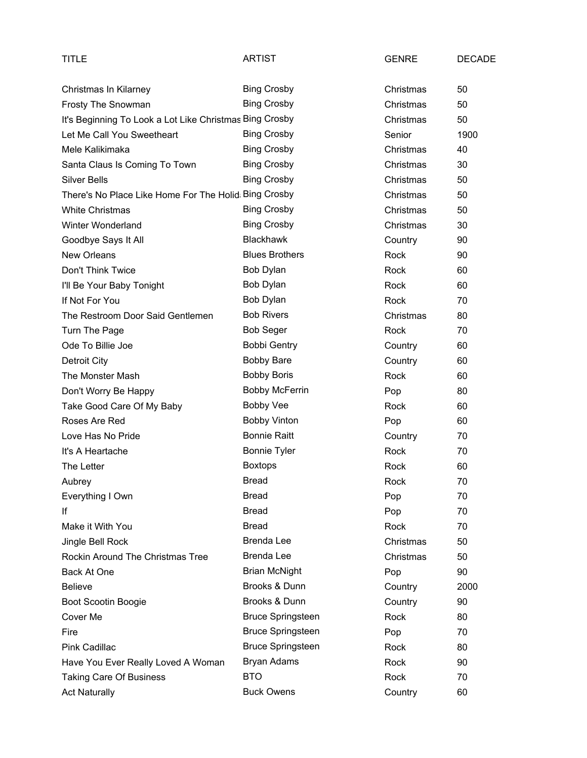| TITLE                                                   | <b>ARTIST</b>            | <b>GENRE</b> | <b>DECADE</b> |
|---------------------------------------------------------|--------------------------|--------------|---------------|
| Christmas In Kilarney                                   | <b>Bing Crosby</b>       | Christmas    | 50            |
| Frosty The Snowman                                      | <b>Bing Crosby</b>       | Christmas    | 50            |
| It's Beginning To Look a Lot Like Christmas Bing Crosby |                          | Christmas    | 50            |
| Let Me Call You Sweetheart                              | <b>Bing Crosby</b>       | Senior       | 1900          |
| Mele Kalikimaka                                         | <b>Bing Crosby</b>       | Christmas    | 40            |
| Santa Claus Is Coming To Town                           | <b>Bing Crosby</b>       | Christmas    | 30            |
| <b>Silver Bells</b>                                     | <b>Bing Crosby</b>       | Christmas    | 50            |
| There's No Place Like Home For The Holid Bing Crosby    |                          | Christmas    | 50            |
| <b>White Christmas</b>                                  | <b>Bing Crosby</b>       | Christmas    | 50            |
| Winter Wonderland                                       | <b>Bing Crosby</b>       | Christmas    | 30            |
| Goodbye Says It All                                     | <b>Blackhawk</b>         | Country      | 90            |
| <b>New Orleans</b>                                      | <b>Blues Brothers</b>    | Rock         | 90            |
| Don't Think Twice                                       | Bob Dylan                | Rock         | 60            |
| I'll Be Your Baby Tonight                               | Bob Dylan                | Rock         | 60            |
| If Not For You                                          | Bob Dylan                | Rock         | 70            |
| The Restroom Door Said Gentlemen                        | <b>Bob Rivers</b>        | Christmas    | 80            |
| Turn The Page                                           | <b>Bob Seger</b>         | Rock         | 70            |
| Ode To Billie Joe                                       | <b>Bobbi Gentry</b>      | Country      | 60            |
| Detroit City                                            | <b>Bobby Bare</b>        | Country      | 60            |
| The Monster Mash                                        | <b>Bobby Boris</b>       | Rock         | 60            |
| Don't Worry Be Happy                                    | <b>Bobby McFerrin</b>    | Pop          | 80            |
| Take Good Care Of My Baby                               | <b>Bobby Vee</b>         | Rock         | 60            |
| Roses Are Red                                           | <b>Bobby Vinton</b>      | Pop          | 60            |
| Love Has No Pride                                       | <b>Bonnie Raitt</b>      | Country      | 70            |
| It's A Heartache                                        | <b>Bonnie Tyler</b>      | Rock         | 70            |
| The Letter                                              | <b>Boxtops</b>           | <b>Rock</b>  | 60            |
| Aubrey                                                  | Bread                    | Rock         | 70            |
| Everything I Own                                        | <b>Bread</b>             | Pop          | 70            |
| ١f                                                      | <b>Bread</b>             | Pop          | 70            |
| Make it With You                                        | <b>Bread</b>             | Rock         | 70            |
| Jingle Bell Rock                                        | <b>Brenda Lee</b>        | Christmas    | 50            |
| Rockin Around The Christmas Tree                        | <b>Brenda Lee</b>        | Christmas    | 50            |
| Back At One                                             | <b>Brian McNight</b>     | Pop          | 90            |
| <b>Believe</b>                                          | Brooks & Dunn            | Country      | 2000          |
| Boot Scootin Boogie                                     | Brooks & Dunn            | Country      | 90            |
| Cover Me                                                | <b>Bruce Springsteen</b> | Rock         | 80            |
| Fire                                                    | <b>Bruce Springsteen</b> | Pop          | 70            |
| Pink Cadillac                                           | <b>Bruce Springsteen</b> | Rock         | 80            |
| Have You Ever Really Loved A Woman                      | Bryan Adams              | Rock         | 90            |
| <b>Taking Care Of Business</b>                          | <b>BTO</b>               | Rock         | 70            |
| <b>Act Naturally</b>                                    | <b>Buck Owens</b>        | Country      | 60            |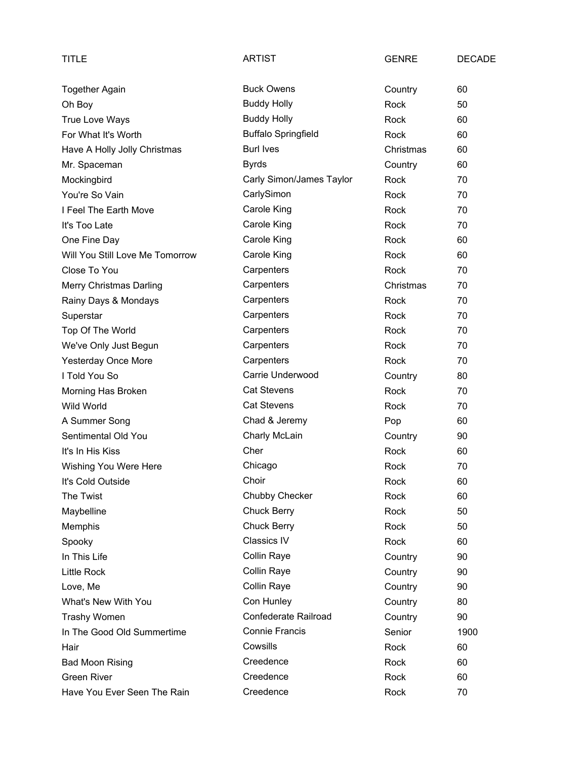| TITLE                           | ARTIST                     | <b>GENRE</b> | <b>DECADE</b> |
|---------------------------------|----------------------------|--------------|---------------|
| <b>Together Again</b>           | <b>Buck Owens</b>          | Country      | 60            |
| Oh Boy                          | <b>Buddy Holly</b>         | Rock         | 50            |
| True Love Ways                  | <b>Buddy Holly</b>         | Rock         | 60            |
| For What It's Worth             | <b>Buffalo Springfield</b> | Rock         | 60            |
| Have A Holly Jolly Christmas    | <b>Burl Ives</b>           | Christmas    | 60            |
| Mr. Spaceman                    | <b>Byrds</b>               | Country      | 60            |
| Mockingbird                     | Carly Simon/James Taylor   | Rock         | 70            |
| You're So Vain                  | CarlySimon                 | Rock         | 70            |
| I Feel The Earth Move           | Carole King                | Rock         | 70            |
| It's Too Late                   | Carole King                | Rock         | 70            |
| One Fine Day                    | Carole King                | Rock         | 60            |
| Will You Still Love Me Tomorrow | Carole King                | Rock         | 60            |
| Close To You                    | Carpenters                 | Rock         | 70            |
| Merry Christmas Darling         | Carpenters                 | Christmas    | 70            |
| Rainy Days & Mondays            | Carpenters                 | Rock         | 70            |
| Superstar                       | Carpenters                 | Rock         | 70            |
| Top Of The World                | Carpenters                 | Rock         | 70            |
| We've Only Just Begun           | Carpenters                 | Rock         | 70            |
| <b>Yesterday Once More</b>      | Carpenters                 | Rock         | 70            |
| I Told You So                   | Carrie Underwood           | Country      | 80            |
| Morning Has Broken              | <b>Cat Stevens</b>         | Rock         | 70            |
| <b>Wild World</b>               | <b>Cat Stevens</b>         | Rock         | 70            |
| A Summer Song                   | Chad & Jeremy              | Pop          | 60            |
| Sentimental Old You             | Charly McLain              | Country      | 90            |
| It's In His Kiss                | Cher                       | Rock         | 60            |
| Wishing You Were Here           | Chicago                    | Rock         | 70            |
| It's Cold Outside               | Choir                      | Rock         | 60            |
| The Twist                       | Chubby Checker             | Rock         | 60            |
| Maybelline                      | <b>Chuck Berry</b>         | Rock         | 50            |
| Memphis                         | <b>Chuck Berry</b>         | Rock         | 50            |
| Spooky                          | <b>Classics IV</b>         | Rock         | 60            |
| In This Life                    | Collin Raye                | Country      | 90            |
| <b>Little Rock</b>              | Collin Raye                | Country      | 90            |
| Love, Me                        | Collin Raye                | Country      | 90            |
| What's New With You             | Con Hunley                 | Country      | 80            |
| <b>Trashy Women</b>             | Confederate Railroad       | Country      | 90            |
| In The Good Old Summertime      | <b>Connie Francis</b>      | Senior       | 1900          |
| Hair                            | Cowsills                   | Rock         | 60            |
| <b>Bad Moon Rising</b>          | Creedence                  | Rock         | 60            |
| <b>Green River</b>              | Creedence                  | Rock         | 60            |
| Have You Ever Seen The Rain     | Creedence                  | Rock         | 70            |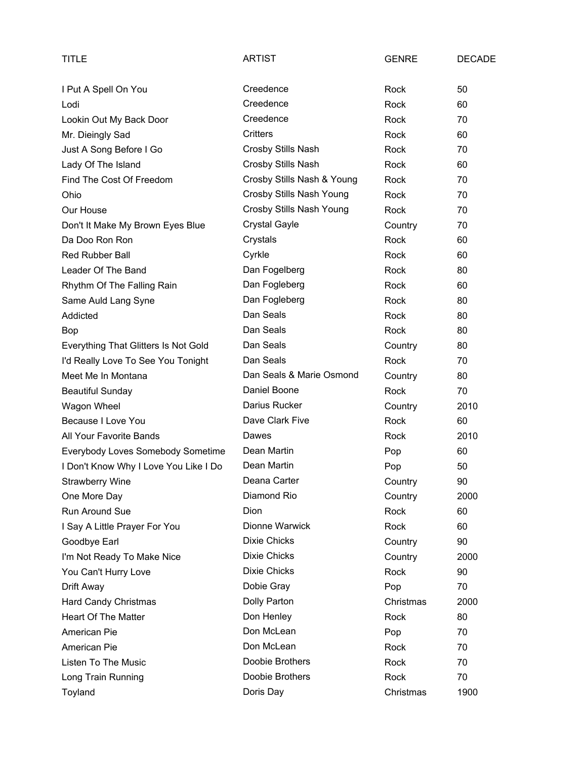| TITLE                                 | <b>ARTIST</b>              | <b>GENRE</b> | <b>DECADE</b> |
|---------------------------------------|----------------------------|--------------|---------------|
| I Put A Spell On You                  | Creedence                  | Rock         | 50            |
| Lodi                                  | Creedence                  | <b>Rock</b>  | 60            |
| Lookin Out My Back Door               | Creedence                  | Rock         | 70            |
| Mr. Dieingly Sad                      | <b>Critters</b>            | Rock         | 60            |
| Just A Song Before I Go               | Crosby Stills Nash         | Rock         | 70            |
| Lady Of The Island                    | Crosby Stills Nash         | Rock         | 60            |
| Find The Cost Of Freedom              | Crosby Stills Nash & Young | Rock         | 70            |
| Ohio                                  | Crosby Stills Nash Young   | Rock         | 70            |
| Our House                             | Crosby Stills Nash Young   | Rock         | 70            |
| Don't It Make My Brown Eyes Blue      | <b>Crystal Gayle</b>       | Country      | 70            |
| Da Doo Ron Ron                        | Crystals                   | Rock         | 60            |
| Red Rubber Ball                       | Cyrkle                     | Rock         | 60            |
| Leader Of The Band                    | Dan Fogelberg              | Rock         | 80            |
| Rhythm Of The Falling Rain            | Dan Fogleberg              | Rock         | 60            |
| Same Auld Lang Syne                   | Dan Fogleberg              | Rock         | 80            |
| Addicted                              | Dan Seals                  | Rock         | 80            |
| Bop                                   | Dan Seals                  | Rock         | 80            |
| Everything That Glitters Is Not Gold  | Dan Seals                  | Country      | 80            |
| I'd Really Love To See You Tonight    | Dan Seals                  | Rock         | 70            |
| Meet Me In Montana                    | Dan Seals & Marie Osmond   | Country      | 80            |
| <b>Beautiful Sunday</b>               | Daniel Boone               | Rock         | 70            |
| Wagon Wheel                           | Darius Rucker              | Country      | 2010          |
| Because I Love You                    | Dave Clark Five            | Rock         | 60            |
| All Your Favorite Bands               | Dawes                      | Rock         | 2010          |
| Everybody Loves Somebody Sometime     | Dean Martin                | Pop          | 60            |
| I Don't Know Why I Love You Like I Do | Dean Martin                | Pop          | 50            |
| <b>Strawberry Wine</b>                | Deana Carter               | Country      | 90            |
| One More Day                          | Diamond Rio                | Country      | 2000          |
| Run Around Sue                        | Dion                       | Rock         | 60            |
| I Say A Little Prayer For You         | Dionne Warwick             | Rock         | 60            |
| Goodbye Earl                          | <b>Dixie Chicks</b>        | Country      | 90            |
| I'm Not Ready To Make Nice            | <b>Dixie Chicks</b>        | Country      | 2000          |
| You Can't Hurry Love                  | <b>Dixie Chicks</b>        | Rock         | 90            |
| Drift Away                            | Dobie Gray                 | Pop          | 70            |
| Hard Candy Christmas                  | Dolly Parton               | Christmas    | 2000          |
| <b>Heart Of The Matter</b>            | Don Henley                 | Rock         | 80            |
| American Pie                          | Don McLean                 | Pop          | 70            |
| American Pie                          | Don McLean                 | Rock         | 70            |
| Listen To The Music                   | Doobie Brothers            | Rock         | 70            |
| Long Train Running                    | Doobie Brothers            | Rock         | 70            |
| Toyland                               | Doris Day                  | Christmas    | 1900          |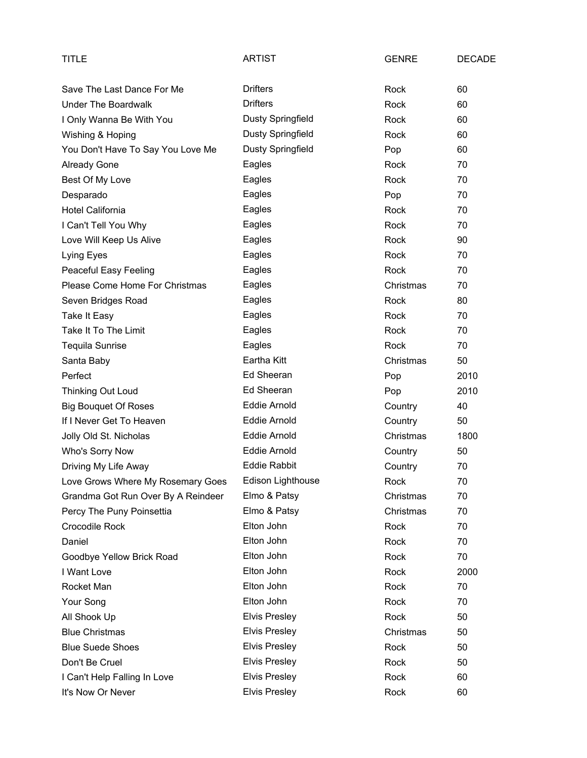| TITLE                              | <b>ARTIST</b>        | <b>GENRE</b> | <b>DECADE</b> |
|------------------------------------|----------------------|--------------|---------------|
| Save The Last Dance For Me         | <b>Drifters</b>      | Rock         | 60            |
| <b>Under The Boardwalk</b>         | <b>Drifters</b>      | Rock         | 60            |
| I Only Wanna Be With You           | Dusty Springfield    | Rock         | 60            |
| Wishing & Hoping                   | Dusty Springfield    | Rock         | 60            |
| You Don't Have To Say You Love Me  | Dusty Springfield    | Pop          | 60            |
| <b>Already Gone</b>                | Eagles               | Rock         | 70            |
| Best Of My Love                    | Eagles               | <b>Rock</b>  | 70            |
| Desparado                          | Eagles               | Pop          | 70            |
| <b>Hotel California</b>            | Eagles               | Rock         | 70            |
| I Can't Tell You Why               | Eagles               | Rock         | 70            |
| Love Will Keep Us Alive            | Eagles               | Rock         | 90            |
| Lying Eyes                         | Eagles               | Rock         | 70            |
| Peaceful Easy Feeling              | Eagles               | Rock         | 70            |
| Please Come Home For Christmas     | Eagles               | Christmas    | 70            |
| Seven Bridges Road                 | Eagles               | Rock         | 80            |
| <b>Take It Easy</b>                | Eagles               | Rock         | 70            |
| Take It To The Limit               | Eagles               | Rock         | 70            |
| <b>Tequila Sunrise</b>             | Eagles               | Rock         | 70            |
| Santa Baby                         | Eartha Kitt          | Christmas    | 50            |
| Perfect                            | Ed Sheeran           | Pop          | 2010          |
| Thinking Out Loud                  | Ed Sheeran           | Pop          | 2010          |
| <b>Big Bouquet Of Roses</b>        | <b>Eddie Arnold</b>  | Country      | 40            |
| If I Never Get To Heaven           | <b>Eddie Arnold</b>  | Country      | 50            |
| Jolly Old St. Nicholas             | Eddie Arnold         | Christmas    | 1800          |
| Who's Sorry Now                    | <b>Eddie Arnold</b>  | Country      | 50            |
| Driving My Life Away               | <b>Eddie Rabbit</b>  | Country      | 70            |
| Love Grows Where My Rosemary Goes  | Edison Lighthouse    | Rock         | 70            |
| Grandma Got Run Over By A Reindeer | Elmo & Patsy         | Christmas    | 70            |
| Percy The Puny Poinsettia          | Elmo & Patsy         | Christmas    | 70            |
| <b>Crocodile Rock</b>              | Elton John           | Rock         | 70            |
| Daniel                             | Elton John           | Rock         | 70            |
| Goodbye Yellow Brick Road          | Elton John           | Rock         | 70            |
| I Want Love                        | Elton John           | Rock         | 2000          |
| Rocket Man                         | Elton John           | Rock         | 70            |
| Your Song                          | Elton John           | Rock         | 70            |
| All Shook Up                       | <b>Elvis Presley</b> | Rock         | 50            |
| <b>Blue Christmas</b>              | <b>Elvis Presley</b> | Christmas    | 50            |
| <b>Blue Suede Shoes</b>            | <b>Elvis Presley</b> | Rock         | 50            |
| Don't Be Cruel                     | <b>Elvis Presley</b> | Rock         | 50            |
| I Can't Help Falling In Love       | <b>Elvis Presley</b> | Rock         | 60            |
| It's Now Or Never                  | <b>Elvis Presley</b> | Rock         | 60            |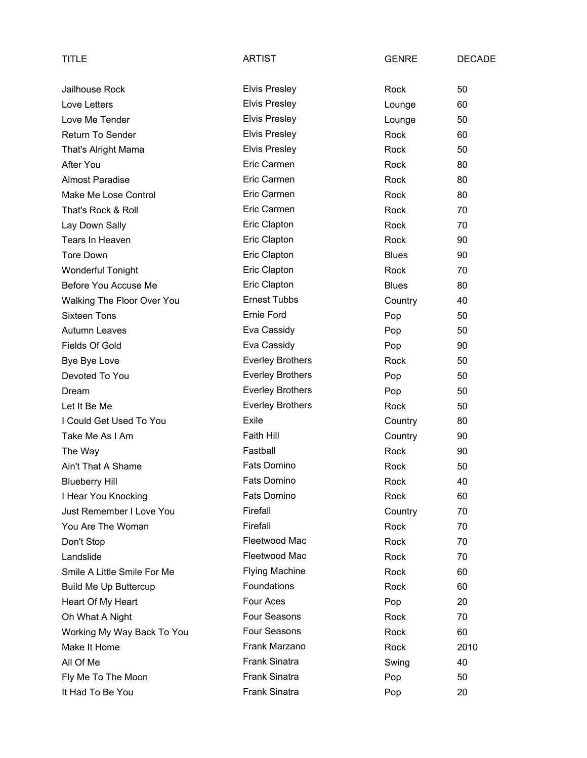| TITLE                        | <b>ARTIST</b>           | <b>GENRE</b> | <b>DECADE</b> |
|------------------------------|-------------------------|--------------|---------------|
| Jailhouse Rock               | <b>Elvis Presley</b>    | Rock         | 50            |
| Love Letters                 | <b>Elvis Presley</b>    | Lounge       | 60            |
| Love Me Tender               | <b>Elvis Presley</b>    | Lounge       | 50            |
| <b>Return To Sender</b>      | <b>Elvis Presley</b>    | Rock         | 60            |
| That's Alright Mama          | <b>Elvis Presley</b>    | Rock         | 50            |
| After You                    | Eric Carmen             | Rock         | 80            |
| <b>Almost Paradise</b>       | Eric Carmen             | Rock         | 80            |
| Make Me Lose Control         | Eric Carmen             | Rock         | 80            |
| That's Rock & Roll           | Eric Carmen             | Rock         | 70            |
| Lay Down Sally               | Eric Clapton            | Rock         | 70            |
| Tears In Heaven              | Eric Clapton            | Rock         | 90            |
| Tore Down                    | Eric Clapton            | <b>Blues</b> | 90            |
| <b>Wonderful Tonight</b>     | Eric Clapton            | Rock         | 70            |
| Before You Accuse Me         | Eric Clapton            | <b>Blues</b> | 80            |
| Walking The Floor Over You   | <b>Ernest Tubbs</b>     | Country      | 40            |
| <b>Sixteen Tons</b>          | Ernie Ford              | Pop          | 50            |
| <b>Autumn Leaves</b>         | Eva Cassidy             | Pop          | 50            |
| <b>Fields Of Gold</b>        | Eva Cassidy             | Pop          | 90            |
| Bye Bye Love                 | <b>Everley Brothers</b> | Rock         | 50            |
| Devoted To You               | <b>Everley Brothers</b> | Pop          | 50            |
| Dream                        | <b>Everley Brothers</b> | Pop          | 50            |
| Let It Be Me                 | <b>Everley Brothers</b> | Rock         | 50            |
| I Could Get Used To You      | Exile                   | Country      | 80            |
| Take Me As I Am              | Faith Hill              | Country      | 90            |
| The Way                      | Fastball                | Rock         | 90            |
| Ain't That A Shame           | Fats Domino             | Rock         | 50            |
| <b>Blueberry Hill</b>        | Fats Domino             | Rock         | 40            |
| I Hear You Knocking          | Fats Domino             | Rock         | 60            |
| Just Remember I Love You     | Firefall                | Country      | 70            |
| You Are The Woman            | Firefall                | Rock         | 70            |
| Don't Stop                   | Fleetwood Mac           | Rock         | 70            |
| Landslide                    | Fleetwood Mac           | Rock         | 70            |
| Smile A Little Smile For Me  | <b>Flying Machine</b>   | Rock         | 60            |
| <b>Build Me Up Buttercup</b> | Foundations             | Rock         | 60            |
| Heart Of My Heart            | Four Aces               | Pop          | 20            |
| Oh What A Night              | Four Seasons            | Rock         | 70            |
| Working My Way Back To You   | Four Seasons            | Rock         | 60            |
| Make It Home                 | Frank Marzano           | Rock         | 2010          |
| All Of Me                    | <b>Frank Sinatra</b>    | Swing        | 40            |
| Fly Me To The Moon           | <b>Frank Sinatra</b>    | Pop          | 50            |
| It Had To Be You             | Frank Sinatra           | Pop          | 20            |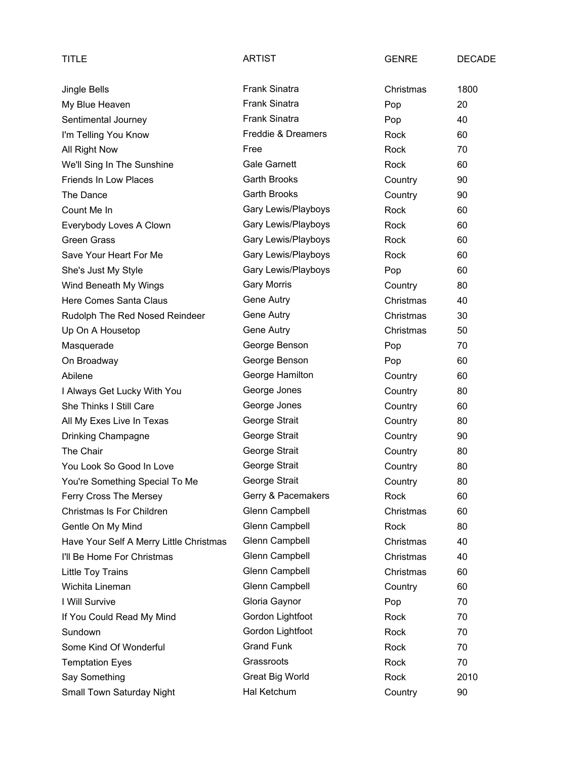| TITLE                                   | ARTIST               | <b>GENRE</b> | <b>DECADE</b> |
|-----------------------------------------|----------------------|--------------|---------------|
| Jingle Bells                            | <b>Frank Sinatra</b> | Christmas    | 1800          |
| My Blue Heaven                          | <b>Frank Sinatra</b> | Pop          | 20            |
| Sentimental Journey                     | <b>Frank Sinatra</b> | Pop          | 40            |
| I'm Telling You Know                    | Freddie & Dreamers   | Rock         | 60            |
| All Right Now                           | Free                 | Rock         | 70            |
| We'll Sing In The Sunshine              | <b>Gale Garnett</b>  | Rock         | 60            |
| <b>Friends In Low Places</b>            | Garth Brooks         | Country      | 90            |
| The Dance                               | <b>Garth Brooks</b>  | Country      | 90            |
| Count Me In                             | Gary Lewis/Playboys  | Rock         | 60            |
| Everybody Loves A Clown                 | Gary Lewis/Playboys  | Rock         | 60            |
| <b>Green Grass</b>                      | Gary Lewis/Playboys  | Rock         | 60            |
| Save Your Heart For Me                  | Gary Lewis/Playboys  | Rock         | 60            |
| She's Just My Style                     | Gary Lewis/Playboys  | Pop          | 60            |
| Wind Beneath My Wings                   | <b>Gary Morris</b>   | Country      | 80            |
| Here Comes Santa Claus                  | Gene Autry           | Christmas    | 40            |
| Rudolph The Red Nosed Reindeer          | Gene Autry           | Christmas    | 30            |
| Up On A Housetop                        | Gene Autry           | Christmas    | 50            |
| Masquerade                              | George Benson        | Pop          | 70            |
| On Broadway                             | George Benson        | Pop          | 60            |
| Abilene                                 | George Hamilton      | Country      | 60            |
| I Always Get Lucky With You             | George Jones         | Country      | 80            |
| She Thinks I Still Care                 | George Jones         | Country      | 60            |
| All My Exes Live In Texas               | George Strait        | Country      | 80            |
| Drinking Champagne                      | George Strait        | Country      | 90            |
| The Chair                               | George Strait        | Country      | 80            |
| You Look So Good In Love                | George Strait        | Country      | 80            |
| You're Something Special To Me          | George Strait        | Country      | 80            |
| Ferry Cross The Mersey                  | Gerry & Pacemakers   | Rock         | 60            |
| Christmas Is For Children               | Glenn Campbell       | Christmas    | 60            |
| Gentle On My Mind                       | Glenn Campbell       | Rock         | 80            |
| Have Your Self A Merry Little Christmas | Glenn Campbell       | Christmas    | 40            |
| I'll Be Home For Christmas              | Glenn Campbell       | Christmas    | 40            |
| Little Toy Trains                       | Glenn Campbell       | Christmas    | 60            |
| Wichita Lineman                         | Glenn Campbell       | Country      | 60            |
| I Will Survive                          | Gloria Gaynor        | Pop          | 70            |
| If You Could Read My Mind               | Gordon Lightfoot     | Rock         | 70            |
| Sundown                                 | Gordon Lightfoot     | Rock         | 70            |
| Some Kind Of Wonderful                  | <b>Grand Funk</b>    | Rock         | 70            |
| <b>Temptation Eyes</b>                  | Grassroots           | Rock         | 70            |
| Say Something                           | Great Big World      | Rock         | 2010          |
| Small Town Saturday Night               | Hal Ketchum          | Country      | 90            |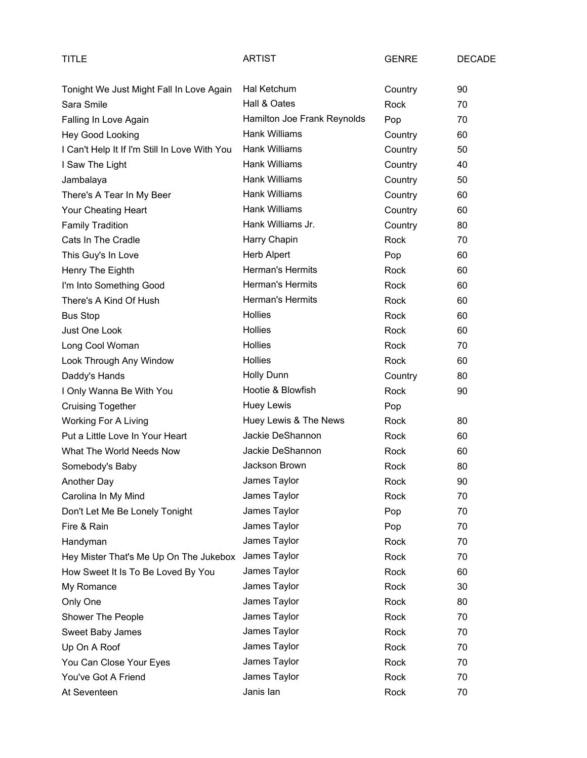| TITLE                                         | <b>ARTIST</b>               | <b>GENRE</b> | <b>DECADE</b> |
|-----------------------------------------------|-----------------------------|--------------|---------------|
| Tonight We Just Might Fall In Love Again      | Hal Ketchum                 | Country      | 90            |
| Sara Smile                                    | Hall & Oates                | Rock         | 70            |
| Falling In Love Again                         | Hamilton Joe Frank Reynolds | Pop          | 70            |
| Hey Good Looking                              | Hank Williams               | Country      | 60            |
| I Can't Help It If I'm Still In Love With You | Hank Williams               | Country      | 50            |
| I Saw The Light                               | <b>Hank Williams</b>        | Country      | 40            |
| Jambalaya                                     | Hank Williams               | Country      | 50            |
| There's A Tear In My Beer                     | <b>Hank Williams</b>        | Country      | 60            |
| Your Cheating Heart                           | Hank Williams               | Country      | 60            |
| <b>Family Tradition</b>                       | Hank Williams Jr.           | Country      | 80            |
| Cats In The Cradle                            | Harry Chapin                | Rock         | 70            |
| This Guy's In Love                            | Herb Alpert                 | Pop          | 60            |
| Henry The Eighth                              | Herman's Hermits            | Rock         | 60            |
| I'm Into Something Good                       | Herman's Hermits            | Rock         | 60            |
| There's A Kind Of Hush                        | Herman's Hermits            | Rock         | 60            |
| <b>Bus Stop</b>                               | <b>Hollies</b>              | Rock         | 60            |
| Just One Look                                 | <b>Hollies</b>              | <b>Rock</b>  | 60            |
| Long Cool Woman                               | <b>Hollies</b>              | Rock         | 70            |
| Look Through Any Window                       | <b>Hollies</b>              | Rock         | 60            |
| Daddy's Hands                                 | <b>Holly Dunn</b>           | Country      | 80            |
| I Only Wanna Be With You                      | Hootie & Blowfish           | Rock         | 90            |
| <b>Cruising Together</b>                      | Huey Lewis                  | Pop          |               |
| <b>Working For A Living</b>                   | Huey Lewis & The News       | Rock         | 80            |
| Put a Little Love In Your Heart               | Jackie DeShannon            | Rock         | 60            |
| What The World Needs Now                      | Jackie DeShannon            | Rock         | 60            |
| Somebody's Baby                               | Jackson Brown               | Rock         | 80            |
| Another Day                                   | James Taylor                | Rock         | 90            |
| Carolina In My Mind                           | James Taylor                | Rock         | 70            |
| Don't Let Me Be Lonely Tonight                | James Taylor                | Pop          | 70            |
| Fire & Rain                                   | James Taylor                | Pop          | 70            |
| Handyman                                      | James Taylor                | Rock         | 70            |
| Hey Mister That's Me Up On The Jukebox        | James Taylor                | Rock         | 70            |
| How Sweet It Is To Be Loved By You            | James Taylor                | Rock         | 60            |
| My Romance                                    | James Taylor                | Rock         | 30            |
| Only One                                      | James Taylor                | Rock         | 80            |
| Shower The People                             | James Taylor                | Rock         | 70            |
| Sweet Baby James                              | James Taylor                | Rock         | 70            |
| Up On A Roof                                  | James Taylor                | Rock         | 70            |
| You Can Close Your Eyes                       | James Taylor                | Rock         | 70            |
| You've Got A Friend                           | James Taylor                | Rock         | 70            |
| At Seventeen                                  | Janis lan                   | Rock         | 70            |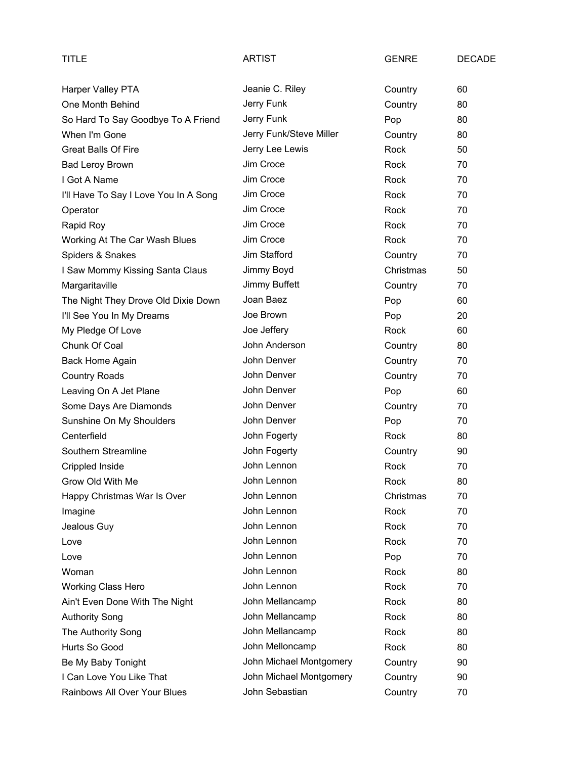| TITLE                                 | <b>ARTIST</b>           | <b>GENRE</b> | <b>DECADE</b> |
|---------------------------------------|-------------------------|--------------|---------------|
| Harper Valley PTA                     | Jeanie C. Riley         | Country      | 60            |
| One Month Behind                      | Jerry Funk              | Country      | 80            |
| So Hard To Say Goodbye To A Friend    | Jerry Funk              | Pop          | 80            |
| When I'm Gone                         | Jerry Funk/Steve Miller | Country      | 80            |
| <b>Great Balls Of Fire</b>            | Jerry Lee Lewis         | Rock         | 50            |
| <b>Bad Leroy Brown</b>                | Jim Croce               | Rock         | 70            |
| I Got A Name                          | Jim Croce               | Rock         | 70            |
| I'll Have To Say I Love You In A Song | Jim Croce               | Rock         | 70            |
| Operator                              | Jim Croce               | Rock         | 70            |
| Rapid Roy                             | Jim Croce               | Rock         | 70            |
| Working At The Car Wash Blues         | Jim Croce               | Rock         | 70            |
| Spiders & Snakes                      | Jim Stafford            | Country      | 70            |
| I Saw Mommy Kissing Santa Claus       | Jimmy Boyd              | Christmas    | 50            |
| Margaritaville                        | Jimmy Buffett           | Country      | 70            |
| The Night They Drove Old Dixie Down   | Joan Baez               | Pop          | 60            |
| I'll See You In My Dreams             | Joe Brown               | Pop          | 20            |
| My Pledge Of Love                     | Joe Jeffery             | Rock         | 60            |
| Chunk Of Coal                         | John Anderson           | Country      | 80            |
| Back Home Again                       | John Denver             | Country      | 70            |
| <b>Country Roads</b>                  | John Denver             | Country      | 70            |
| Leaving On A Jet Plane                | John Denver             | Pop          | 60            |
| Some Days Are Diamonds                | John Denver             | Country      | 70            |
| Sunshine On My Shoulders              | John Denver             | Pop          | 70            |
| Centerfield                           | John Fogerty            | Rock         | 80            |
| Southern Streamline                   | John Fogerty            | Country      | 90            |
| Crippled Inside                       | John Lennon             | Rock         | 70            |
| Grow Old With Me                      | John Lennon             | Rock         | 80            |
| Happy Christmas War Is Over           | John Lennon             | Christmas    | 70            |
| Imagine                               | John Lennon             | Rock         | 70            |
| Jealous Guy                           | John Lennon             | Rock         | 70            |
| Love                                  | John Lennon             | Rock         | 70            |
| Love                                  | John Lennon             | Pop          | 70            |
| Woman                                 | John Lennon             | Rock         | 80            |
| <b>Working Class Hero</b>             | John Lennon             | Rock         | 70            |
| Ain't Even Done With The Night        | John Mellancamp         | Rock         | 80            |
| <b>Authority Song</b>                 | John Mellancamp         | Rock         | 80            |
| The Authority Song                    | John Mellancamp         | Rock         | 80            |
| Hurts So Good                         | John Melloncamp         | Rock         | 80            |
| Be My Baby Tonight                    | John Michael Montgomery | Country      | 90            |
| I Can Love You Like That              | John Michael Montgomery | Country      | 90            |
| Rainbows All Over Your Blues          | John Sebastian          | Country      | 70            |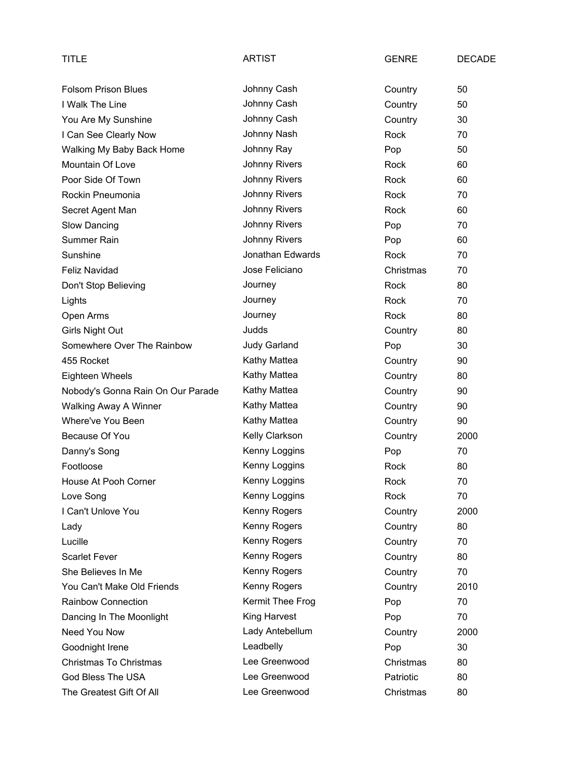| TITLE                             | <b>ARTIST</b>        | <b>GENRE</b> | <b>DECADE</b> |
|-----------------------------------|----------------------|--------------|---------------|
| <b>Folsom Prison Blues</b>        | Johnny Cash          | Country      | 50            |
| I Walk The Line                   | Johnny Cash          | Country      | 50            |
| You Are My Sunshine               | Johnny Cash          | Country      | 30            |
| I Can See Clearly Now             | Johnny Nash          | Rock         | 70            |
| Walking My Baby Back Home         | Johnny Ray           | Pop          | 50            |
| Mountain Of Love                  | Johnny Rivers        | Rock         | 60            |
| Poor Side Of Town                 | Johnny Rivers        | Rock         | 60            |
| Rockin Pneumonia                  | Johnny Rivers        | Rock         | 70            |
| Secret Agent Man                  | Johnny Rivers        | Rock         | 60            |
| Slow Dancing                      | <b>Johnny Rivers</b> | Pop          | 70            |
| Summer Rain                       | Johnny Rivers        | Pop          | 60            |
| Sunshine                          | Jonathan Edwards     | Rock         | 70            |
| Feliz Navidad                     | Jose Feliciano       | Christmas    | 70            |
| Don't Stop Believing              | Journey              | Rock         | 80            |
| Lights                            | Journey              | Rock         | 70            |
| Open Arms                         | Journey              | Rock         | 80            |
| Girls Night Out                   | Judds                | Country      | 80            |
| Somewhere Over The Rainbow        | <b>Judy Garland</b>  | Pop          | 30            |
| 455 Rocket                        | Kathy Mattea         | Country      | 90            |
| Eighteen Wheels                   | Kathy Mattea         | Country      | 80            |
| Nobody's Gonna Rain On Our Parade | Kathy Mattea         | Country      | 90            |
| <b>Walking Away A Winner</b>      | Kathy Mattea         | Country      | 90            |
| Where've You Been                 | Kathy Mattea         | Country      | 90            |
| Because Of You                    | Kelly Clarkson       | Country      | 2000          |
| Danny's Song                      | Kenny Loggins        | Pop          | 70            |
| Footloose                         | Kenny Loggins        | Rock         | 80            |
| House At Pooh Corner              | Kenny Loggins        | Rock         | 70            |
| Love Song                         | Kenny Loggins        | Rock         | 70            |
| I Can't Unlove You                | Kenny Rogers         | Country      | 2000          |
| Lady                              | Kenny Rogers         | Country      | 80            |
| Lucille                           | Kenny Rogers         | Country      | 70            |
| <b>Scarlet Fever</b>              | Kenny Rogers         | Country      | 80            |
| She Believes In Me                | Kenny Rogers         | Country      | 70            |
| You Can't Make Old Friends        | Kenny Rogers         | Country      | 2010          |
| Rainbow Connection                | Kermit Thee Frog     | Pop          | 70            |
| Dancing In The Moonlight          | King Harvest         | Pop          | 70            |
| Need You Now                      | Lady Antebellum      | Country      | 2000          |
| Goodnight Irene                   | Leadbelly            | Pop          | 30            |
| Christmas To Christmas            | Lee Greenwood        | Christmas    | 80            |
| God Bless The USA                 | Lee Greenwood        | Patriotic    | 80            |
| The Greatest Gift Of All          | Lee Greenwood        | Christmas    | 80            |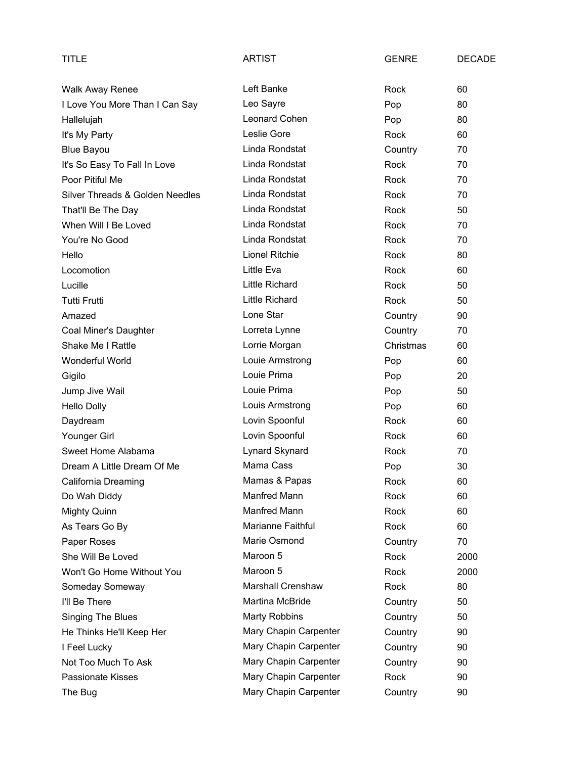| TITLE                           | <b>ARTIST</b>            | <b>GENRE</b> | <b>DECADE</b> |
|---------------------------------|--------------------------|--------------|---------------|
| <b>Walk Away Renee</b>          | Left Banke               | Rock         | 60            |
| I Love You More Than I Can Say  | Leo Sayre                | Pop          | 80            |
| Hallelujah                      | Leonard Cohen            | Pop          | 80            |
| It's My Party                   | Leslie Gore              | Rock         | 60            |
| <b>Blue Bayou</b>               | Linda Rondstat           | Country      | 70            |
| It's So Easy To Fall In Love    | Linda Rondstat           | Rock         | 70            |
| Poor Pitiful Me                 | Linda Rondstat           | Rock         | 70            |
| Silver Threads & Golden Needles | Linda Rondstat           | Rock         | 70            |
| That'll Be The Day              | Linda Rondstat           | Rock         | 50            |
| When Will I Be Loved            | Linda Rondstat           | Rock         | 70            |
| You're No Good                  | Linda Rondstat           | Rock         | 70            |
| Hello                           | <b>Lionel Ritchie</b>    | Rock         | 80            |
| Locomotion                      | Little Eva               | Rock         | 60            |
| Lucille                         | <b>Little Richard</b>    | Rock         | 50            |
| <b>Tutti Frutti</b>             | <b>Little Richard</b>    | <b>Rock</b>  | 50            |
| Amazed                          | Lone Star                | Country      | 90            |
| Coal Miner's Daughter           | Lorreta Lynne            | Country      | 70            |
| Shake Me I Rattle               | Lorrie Morgan            | Christmas    | 60            |
| Wonderful World                 | Louie Armstrong          | Pop          | 60            |
| Gigilo                          | Louie Prima              | Pop          | 20            |
| Jump Jive Wail                  | Louie Prima              | Pop          | 50            |
| <b>Hello Dolly</b>              | Louis Armstrong          | Pop          | 60            |
| Daydream                        | Lovin Spoonful           | Rock         | 60            |
| Younger Girl                    | Lovin Spoonful           | Rock         | 60            |
| Sweet Home Alabama              | Lynard Skynard           | Rock         | 70            |
| Dream A Little Dream Of Me      | Mama Cass                | Pop          | 30            |
| California Dreaming             | Mamas & Papas            | Rock         | 60            |
| Do Wah Diddy                    | <b>Manfred Mann</b>      | Rock         | 60            |
| <b>Mighty Quinn</b>             | <b>Manfred Mann</b>      | Rock         | 60            |
| As Tears Go By                  | Marianne Faithful        | Rock         | 60            |
| Paper Roses                     | Marie Osmond             | Country      | 70            |
| She Will Be Loved               | Maroon 5                 | Rock         | 2000          |
| Won't Go Home Without You       | Maroon 5                 | Rock         | 2000          |
| Someday Someway                 | <b>Marshall Crenshaw</b> | Rock         | 80            |
| I'll Be There                   | Martina McBride          | Country      | 50            |
| <b>Singing The Blues</b>        | <b>Marty Robbins</b>     | Country      | 50            |
| He Thinks He'll Keep Her        | Mary Chapin Carpenter    | Country      | 90            |
| I Feel Lucky                    | Mary Chapin Carpenter    | Country      | 90            |
| Not Too Much To Ask             | Mary Chapin Carpenter    | Country      | 90            |
| <b>Passionate Kisses</b>        | Mary Chapin Carpenter    | Rock         | 90            |
| The Bug                         | Mary Chapin Carpenter    | Country      | 90            |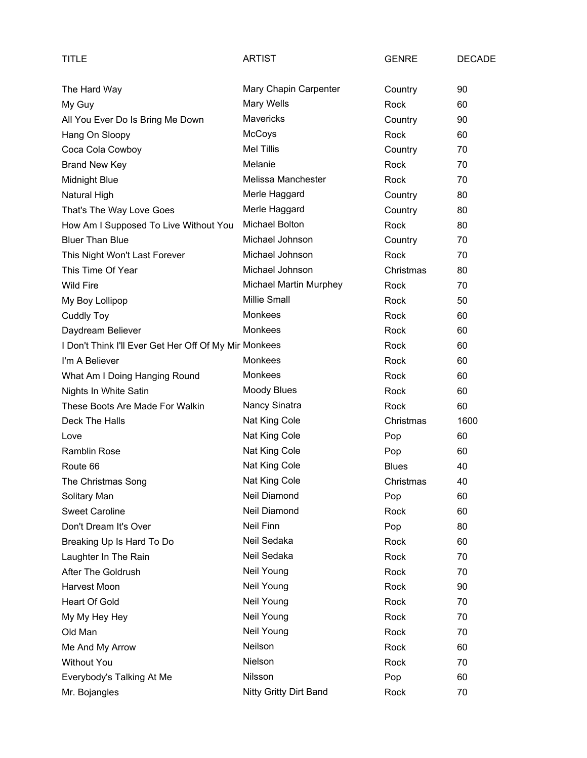| TITLE                                                 | ARTIST                 | <b>GENRE</b> | <b>DECADE</b> |
|-------------------------------------------------------|------------------------|--------------|---------------|
| The Hard Way                                          | Mary Chapin Carpenter  | Country      | 90            |
| My Guy                                                | Mary Wells             | Rock         | 60            |
| All You Ever Do Is Bring Me Down                      | <b>Mavericks</b>       | Country      | 90            |
| Hang On Sloopy                                        | McCoys                 | Rock         | 60            |
| Coca Cola Cowboy                                      | <b>Mel Tillis</b>      | Country      | 70            |
| <b>Brand New Key</b>                                  | Melanie                | Rock         | 70            |
| <b>Midnight Blue</b>                                  | Melissa Manchester     | Rock         | 70            |
| <b>Natural High</b>                                   | Merle Haggard          | Country      | 80            |
| That's The Way Love Goes                              | Merle Haggard          | Country      | 80            |
| How Am I Supposed To Live Without You                 | Michael Bolton         | Rock         | 80            |
| <b>Bluer Than Blue</b>                                | Michael Johnson        | Country      | 70            |
| This Night Won't Last Forever                         | Michael Johnson        | Rock         | 70            |
| This Time Of Year                                     | Michael Johnson        | Christmas    | 80            |
| <b>Wild Fire</b>                                      | Michael Martin Murphey | Rock         | 70            |
| My Boy Lollipop                                       | <b>Millie Small</b>    | Rock         | 50            |
| <b>Cuddly Toy</b>                                     | <b>Monkees</b>         | Rock         | 60            |
| Daydream Believer                                     | <b>Monkees</b>         | Rock         | 60            |
| I Don't Think I'll Ever Get Her Off Of My Mir Monkees |                        | Rock         | 60            |
| I'm A Believer                                        | Monkees                | Rock         | 60            |
| What Am I Doing Hanging Round                         | Monkees                | Rock         | 60            |
| Nights In White Satin                                 | <b>Moody Blues</b>     | Rock         | 60            |
| These Boots Are Made For Walkin                       | Nancy Sinatra          | Rock         | 60            |
| Deck The Halls                                        | Nat King Cole          | Christmas    | 1600          |
| Love                                                  | Nat King Cole          | Pop          | 60            |
| Ramblin Rose                                          | Nat King Cole          | Pop          | 60            |
| Route 66                                              | Nat King Cole          | <b>Blues</b> | 40            |
| The Christmas Song                                    | Nat King Cole          | Christmas    | 40            |
| Solitary Man                                          | <b>Neil Diamond</b>    | Pop          | 60            |
| <b>Sweet Caroline</b>                                 | Neil Diamond           | Rock         | 60            |
| Don't Dream It's Over                                 | Neil Finn              | Pop          | 80            |
| Breaking Up Is Hard To Do                             | Neil Sedaka            | Rock         | 60            |
| Laughter In The Rain                                  | Neil Sedaka            | Rock         | 70            |
| After The Goldrush                                    | Neil Young             | Rock         | 70            |
| Harvest Moon                                          | Neil Young             | Rock         | 90            |
| <b>Heart Of Gold</b>                                  | Neil Young             | Rock         | 70            |
| My My Hey Hey                                         | Neil Young             | Rock         | 70            |
| Old Man                                               | Neil Young             | Rock         | 70            |
| Me And My Arrow                                       | Neilson                | Rock         | 60            |
| <b>Without You</b>                                    | Nielson                | Rock         | 70            |
| Everybody's Talking At Me                             | Nilsson                | Pop          | 60            |
| Mr. Bojangles                                         | Nitty Gritty Dirt Band | Rock         | 70            |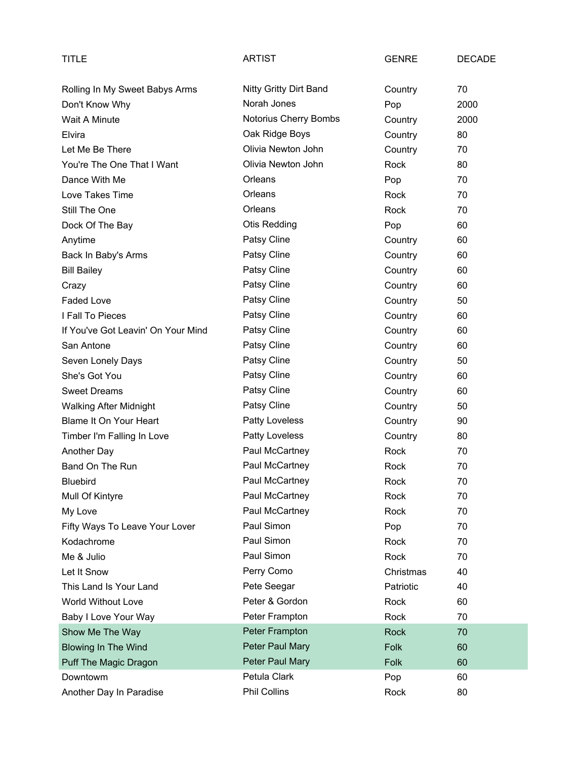| <b>TITLE</b>                       | <b>ARTIST</b>          | <b>GENRE</b> | <b>DECADE</b> |
|------------------------------------|------------------------|--------------|---------------|
| Rolling In My Sweet Babys Arms     | Nitty Gritty Dirt Band | Country      | 70            |
| Don't Know Why                     | Norah Jones            | Pop          | 2000          |
| Wait A Minute                      | Notorius Cherry Bombs  | Country      | 2000          |
| Elvira                             | Oak Ridge Boys         | Country      | 80            |
| Let Me Be There                    | Olivia Newton John     | Country      | 70            |
| You're The One That I Want         | Olivia Newton John     | Rock         | 80            |
| Dance With Me                      | Orleans                | Pop          | 70            |
| Love Takes Time                    | Orleans                | Rock         | 70            |
| Still The One                      | Orleans                | Rock         | 70            |
| Dock Of The Bay                    | <b>Otis Redding</b>    | Pop          | 60            |
| Anytime                            | Patsy Cline            | Country      | 60            |
| Back In Baby's Arms                | Patsy Cline            | Country      | 60            |
| <b>Bill Bailey</b>                 | Patsy Cline            | Country      | 60            |
| Crazy                              | Patsy Cline            | Country      | 60            |
| Faded Love                         | Patsy Cline            | Country      | 50            |
| I Fall To Pieces                   | Patsy Cline            | Country      | 60            |
| If You've Got Leavin' On Your Mind | Patsy Cline            | Country      | 60            |
| San Antone                         | Patsy Cline            | Country      | 60            |
| Seven Lonely Days                  | Patsy Cline            | Country      | 50            |
| She's Got You                      | Patsy Cline            | Country      | 60            |
| <b>Sweet Dreams</b>                | Patsy Cline            | Country      | 60            |
| <b>Walking After Midnight</b>      | Patsy Cline            | Country      | 50            |
| Blame It On Your Heart             | Patty Loveless         | Country      | 90            |
| Timber I'm Falling In Love         | Patty Loveless         | Country      | 80            |
| Another Day                        | Paul McCartney         | Rock         | 70            |
| Band On The Run                    | Paul McCartney         | Rock         | 70            |
| Bluebird                           | Paul McCartney         | Rock         | 70            |
| Mull Of Kintyre                    | Paul McCartney         | Rock         | 70            |
| My Love                            | Paul McCartney         | Rock         | 70            |
| Fifty Ways To Leave Your Lover     | Paul Simon             | Pop          | 70            |
| Kodachrome                         | Paul Simon             | Rock         | 70            |
| Me & Julio                         | Paul Simon             | Rock         | 70            |
| Let It Snow                        | Perry Como             | Christmas    | 40            |
| This Land Is Your Land             | Pete Seegar            | Patriotic    | 40            |
| World Without Love                 | Peter & Gordon         | Rock         | 60            |
| Baby I Love Your Way               | Peter Frampton         | Rock         | 70            |
| Show Me The Way                    | Peter Frampton         | Rock         | 70            |
| <b>Blowing In The Wind</b>         | Peter Paul Mary        | Folk         | 60            |
| Puff The Magic Dragon              | Peter Paul Mary        | Folk         | 60            |
| Downtowm                           | Petula Clark           | Pop          | 60            |
| Another Day In Paradise            | <b>Phil Collins</b>    | Rock         | 80            |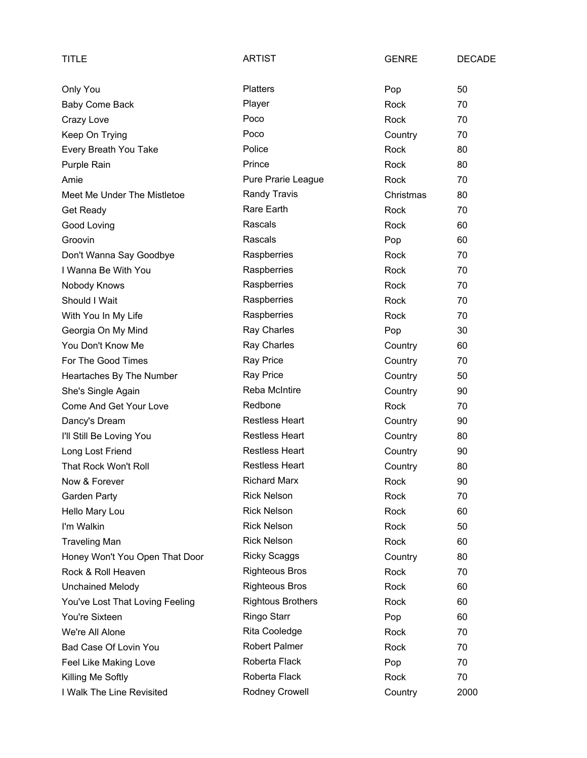| TITLE                           | <b>ARTIST</b>            | <b>GENRE</b> | <b>DECADE</b> |
|---------------------------------|--------------------------|--------------|---------------|
| Only You                        | <b>Platters</b>          | Pop          | 50            |
| <b>Baby Come Back</b>           | Player                   | Rock         | 70            |
| Crazy Love                      | Poco                     | Rock         | 70            |
| Keep On Trying                  | Poco                     | Country      | 70            |
| Every Breath You Take           | Police                   | Rock         | 80            |
| Purple Rain                     | Prince                   | Rock         | 80            |
| Amie                            | Pure Prarie League       | Rock         | 70            |
| Meet Me Under The Mistletoe     | Randy Travis             | Christmas    | 80            |
| Get Ready                       | Rare Earth               | Rock         | 70            |
| Good Loving                     | Rascals                  | Rock         | 60            |
| Groovin                         | Rascals                  | Pop          | 60            |
| Don't Wanna Say Goodbye         | Raspberries              | Rock         | 70            |
| I Wanna Be With You             | Raspberries              | Rock         | 70            |
| Nobody Knows                    | Raspberries              | Rock         | 70            |
| Should I Wait                   | Raspberries              | Rock         | 70            |
| With You In My Life             | Raspberries              | Rock         | 70            |
| Georgia On My Mind              | Ray Charles              | Pop          | 30            |
| You Don't Know Me               | Ray Charles              | Country      | 60            |
| For The Good Times              | <b>Ray Price</b>         | Country      | 70            |
| Heartaches By The Number        | <b>Ray Price</b>         | Country      | 50            |
| She's Single Again              | Reba McIntire            | Country      | 90            |
| Come And Get Your Love          | Redbone                  | Rock         | 70            |
| Dancy's Dream                   | <b>Restless Heart</b>    | Country      | 90            |
| I'll Still Be Loving You        | <b>Restless Heart</b>    | Country      | 80            |
| Long Lost Friend                | <b>Restless Heart</b>    | Country      | 90            |
| That Rock Won't Roll            | <b>Restless Heart</b>    | Country      | 80            |
| Now & Forever                   | <b>Richard Marx</b>      | Rock         | 90            |
| Garden Party                    | <b>Rick Nelson</b>       | Rock         | 70            |
| Hello Mary Lou                  | <b>Rick Nelson</b>       | Rock         | 60            |
| I'm Walkin                      | <b>Rick Nelson</b>       | Rock         | 50            |
| <b>Traveling Man</b>            | <b>Rick Nelson</b>       | Rock         | 60            |
| Honey Won't You Open That Door  | <b>Ricky Scaggs</b>      | Country      | 80            |
| Rock & Roll Heaven              | <b>Righteous Bros</b>    | Rock         | 70            |
| <b>Unchained Melody</b>         | <b>Righteous Bros</b>    | Rock         | 60            |
| You've Lost That Loving Feeling | <b>Rightous Brothers</b> | Rock         | 60            |
| You're Sixteen                  | Ringo Starr              | Pop          | 60            |
| We're All Alone                 | Rita Cooledge            | Rock         | 70            |
| Bad Case Of Lovin You           | <b>Robert Palmer</b>     | Rock         | 70            |
| Feel Like Making Love           | Roberta Flack            | Pop          | 70            |
| Killing Me Softly               | Roberta Flack            | Rock         | 70            |
| I Walk The Line Revisited       | Rodney Crowell           | Country      | 2000          |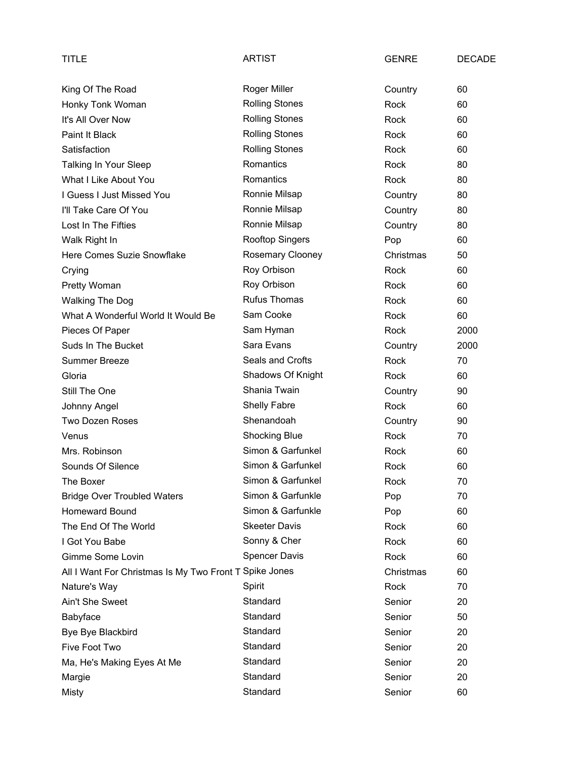| TITLE                                                  | <b>ARTIST</b>         | <b>GENRE</b> | <b>DECADE</b> |
|--------------------------------------------------------|-----------------------|--------------|---------------|
| King Of The Road                                       | <b>Roger Miller</b>   | Country      | 60            |
| Honky Tonk Woman                                       | <b>Rolling Stones</b> | Rock         | 60            |
| It's All Over Now                                      | <b>Rolling Stones</b> | Rock         | 60            |
| Paint It Black                                         | <b>Rolling Stones</b> | Rock         | 60            |
| Satisfaction                                           | <b>Rolling Stones</b> | Rock         | 60            |
| Talking In Your Sleep                                  | Romantics             | Rock         | 80            |
| What I Like About You                                  | Romantics             | Rock         | 80            |
| I Guess I Just Missed You                              | Ronnie Milsap         | Country      | 80            |
| I'll Take Care Of You                                  | Ronnie Milsap         | Country      | 80            |
| Lost In The Fifties                                    | Ronnie Milsap         | Country      | 80            |
| Walk Right In                                          | Rooftop Singers       | Pop          | 60            |
| Here Comes Suzie Snowflake                             | Rosemary Clooney      | Christmas    | 50            |
| Crying                                                 | Roy Orbison           | Rock         | 60            |
| Pretty Woman                                           | Roy Orbison           | Rock         | 60            |
| <b>Walking The Dog</b>                                 | <b>Rufus Thomas</b>   | Rock         | 60            |
| What A Wonderful World It Would Be                     | Sam Cooke             | Rock         | 60            |
| Pieces Of Paper                                        | Sam Hyman             | Rock         | 2000          |
| Suds In The Bucket                                     | Sara Evans            | Country      | 2000          |
| <b>Summer Breeze</b>                                   | Seals and Crofts      | Rock         | 70            |
| Gloria                                                 | Shadows Of Knight     | Rock         | 60            |
| Still The One                                          | Shania Twain          | Country      | 90            |
| Johnny Angel                                           | Shelly Fabre          | Rock         | 60            |
| Two Dozen Roses                                        | Shenandoah            | Country      | 90            |
| Venus                                                  | <b>Shocking Blue</b>  | Rock         | 70            |
| Mrs. Robinson                                          | Simon & Garfunkel     | Rock         | 60            |
| Sounds Of Silence                                      | Simon & Garfunkel     | Rock         | 60            |
| The Boxer                                              | Simon & Garfunkel     | Rock         | 70            |
| <b>Bridge Over Troubled Waters</b>                     | Simon & Garfunkle     | Pop          | 70            |
| <b>Homeward Bound</b>                                  | Simon & Garfunkle     | Pop          | 60            |
| The End Of The World                                   | <b>Skeeter Davis</b>  | Rock         | 60            |
| I Got You Babe                                         | Sonny & Cher          | Rock         | 60            |
| Gimme Some Lovin                                       | <b>Spencer Davis</b>  | Rock         | 60            |
| All I Want For Christmas Is My Two Front T Spike Jones |                       | Christmas    | 60            |
| Nature's Way                                           | Spirit                | Rock         | 70            |
| Ain't She Sweet                                        | Standard              | Senior       | 20            |
| Babyface                                               | Standard              | Senior       | 50            |
| Bye Bye Blackbird                                      | Standard              | Senior       | 20            |
| Five Foot Two                                          | Standard              | Senior       | 20            |
| Ma, He's Making Eyes At Me                             | Standard              | Senior       | 20            |
| Margie                                                 | Standard              | Senior       | 20            |
| <b>Misty</b>                                           | Standard              | Senior       | 60            |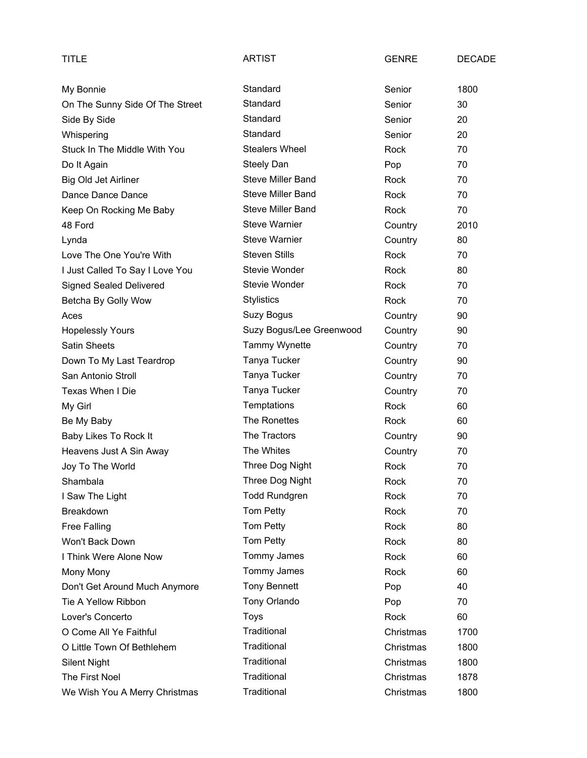| TITLE                           | <b>ARTIST</b>            | <b>GENRE</b> | <b>DECADE</b> |
|---------------------------------|--------------------------|--------------|---------------|
| My Bonnie                       | Standard                 | Senior       | 1800          |
| On The Sunny Side Of The Street | Standard                 | Senior       | 30            |
| Side By Side                    | Standard                 | Senior       | 20            |
| Whispering                      | Standard                 | Senior       | 20            |
| Stuck In The Middle With You    | <b>Stealers Wheel</b>    | Rock         | 70            |
| Do It Again                     | Steely Dan               | Pop          | 70            |
| Big Old Jet Airliner            | <b>Steve Miller Band</b> | Rock         | 70            |
| Dance Dance Dance               | <b>Steve Miller Band</b> | Rock         | 70            |
| Keep On Rocking Me Baby         | <b>Steve Miller Band</b> | Rock         | 70            |
| 48 Ford                         | <b>Steve Warnier</b>     | Country      | 2010          |
| Lynda                           | <b>Steve Warnier</b>     | Country      | 80            |
| Love The One You're With        | <b>Steven Stills</b>     | Rock         | 70            |
| I Just Called To Say I Love You | Stevie Wonder            | Rock         | 80            |
| <b>Signed Sealed Delivered</b>  | Stevie Wonder            | Rock         | 70            |
| Betcha By Golly Wow             | <b>Stylistics</b>        | Rock         | 70            |
| Aces                            | Suzy Bogus               | Country      | 90            |
| <b>Hopelessly Yours</b>         | Suzy Bogus/Lee Greenwood | Country      | 90            |
| <b>Satin Sheets</b>             | Tammy Wynette            | Country      | 70            |
| Down To My Last Teardrop        | Tanya Tucker             | Country      | 90            |
| San Antonio Stroll              | Tanya Tucker             | Country      | 70            |
| Texas When I Die                | Tanya Tucker             | Country      | 70            |
| My Girl                         | Temptations              | Rock         | 60            |
| Be My Baby                      | The Ronettes             | Rock         | 60            |
| Baby Likes To Rock It           | The Tractors             | Country      | 90            |
| Heavens Just A Sin Away         | The Whites               | Country      | 70            |
| Joy To The World                | Three Dog Night          | Rock         | 70            |
| Shambala                        | Three Dog Night          | Rock         | 70            |
| I Saw The Light                 | <b>Todd Rundgren</b>     | Rock         | 70            |
| Breakdown                       | Tom Petty                | Rock         | 70            |
| <b>Free Falling</b>             | <b>Tom Petty</b>         | Rock         | 80            |
| Won't Back Down                 | Tom Petty                | Rock         | 80            |
| I Think Were Alone Now          | Tommy James              | Rock         | 60            |
| Mony Mony                       | Tommy James              | Rock         | 60            |
| Don't Get Around Much Anymore   | <b>Tony Bennett</b>      | Pop          | 40            |
| Tie A Yellow Ribbon             | Tony Orlando             | Pop          | 70            |
| Lover's Concerto                | Toys                     | Rock         | 60            |
| O Come All Ye Faithful          | Traditional              | Christmas    | 1700          |
| O Little Town Of Bethlehem      | Traditional              | Christmas    | 1800          |
| <b>Silent Night</b>             | Traditional              | Christmas    | 1800          |
| The First Noel                  | Traditional              | Christmas    | 1878          |
| We Wish You A Merry Christmas   | Traditional              | Christmas    | 1800          |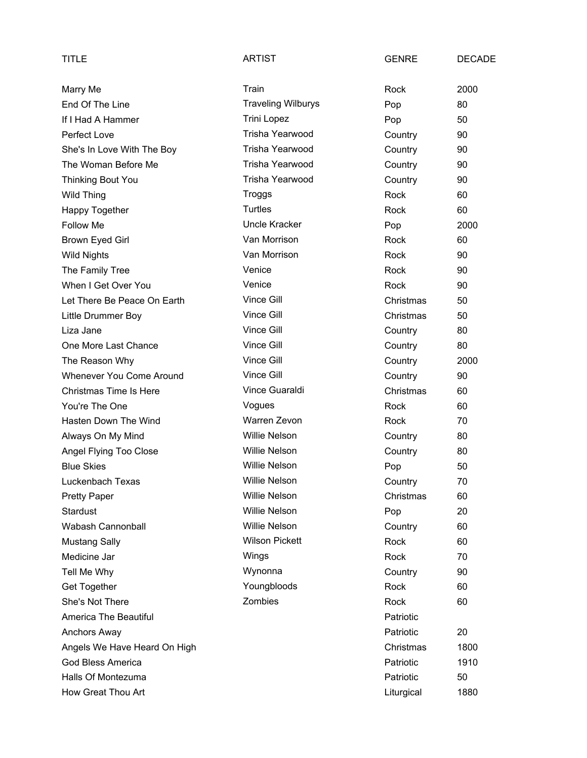| TITLE                         | <b>ARTIST</b>             | <b>GENRE</b> | <b>DECADE</b> |
|-------------------------------|---------------------------|--------------|---------------|
| Marry Me                      | Train                     | Rock         | 2000          |
| End Of The Line               | <b>Traveling Wilburys</b> | Pop          | 80            |
| If I Had A Hammer             | Trini Lopez               | Pop          | 50            |
| Perfect Love                  | Trisha Yearwood           | Country      | 90            |
| She's In Love With The Boy    | Trisha Yearwood           | Country      | 90            |
| The Woman Before Me           | Trisha Yearwood           | Country      | 90            |
| <b>Thinking Bout You</b>      | Trisha Yearwood           | Country      | 90            |
| <b>Wild Thing</b>             | Troggs                    | Rock         | 60            |
| Happy Together                | Turtles                   | Rock         | 60            |
| Follow Me                     | Uncle Kracker             | Pop          | 2000          |
| Brown Eyed Girl               | Van Morrison              | Rock         | 60            |
| <b>Wild Nights</b>            | Van Morrison              | Rock         | 90            |
| The Family Tree               | Venice                    | Rock         | 90            |
| When I Get Over You           | Venice                    | Rock         | 90            |
| Let There Be Peace On Earth   | Vince Gill                | Christmas    | 50            |
| Little Drummer Boy            | Vince Gill                | Christmas    | 50            |
| Liza Jane                     | Vince Gill                | Country      | 80            |
| One More Last Chance          | Vince Gill                | Country      | 80            |
| The Reason Why                | Vince Gill                | Country      | 2000          |
| Whenever You Come Around      | Vince Gill                | Country      | 90            |
| <b>Christmas Time Is Here</b> | Vince Guaraldi            | Christmas    | 60            |
| You're The One                | Vogues                    | Rock         | 60            |
| Hasten Down The Wind          | Warren Zevon              | Rock         | 70            |
| Always On My Mind             | <b>Willie Nelson</b>      | Country      | 80            |
| Angel Flying Too Close        | <b>Willie Nelson</b>      | Country      | 80            |
| <b>Blue Skies</b>             | <b>Willie Nelson</b>      | Pop          | 50            |
| Luckenbach Texas              | <b>Willie Nelson</b>      | Country      | 70            |
| <b>Pretty Paper</b>           | <b>Willie Nelson</b>      | Christmas    | 60            |
| <b>Stardust</b>               | <b>Willie Nelson</b>      | Pop          | 20            |
| Wabash Cannonball             | <b>Willie Nelson</b>      | Country      | 60            |
| <b>Mustang Sally</b>          | <b>Wilson Pickett</b>     | Rock         | 60            |
| Medicine Jar                  | Wings                     | <b>Rock</b>  | 70            |
| Tell Me Why                   | Wynonna                   | Country      | 90            |
| Get Together                  | Youngbloods               | Rock         | 60            |
| She's Not There               | Zombies                   | Rock         | 60            |
| America The Beautiful         |                           | Patriotic    |               |
| Anchors Away                  |                           | Patriotic    | 20            |
| Angels We Have Heard On High  |                           | Christmas    | 1800          |
| <b>God Bless America</b>      |                           | Patriotic    | 1910          |
| Halls Of Montezuma            |                           | Patriotic    | 50            |
| How Great Thou Art            |                           | Liturgical   | 1880          |